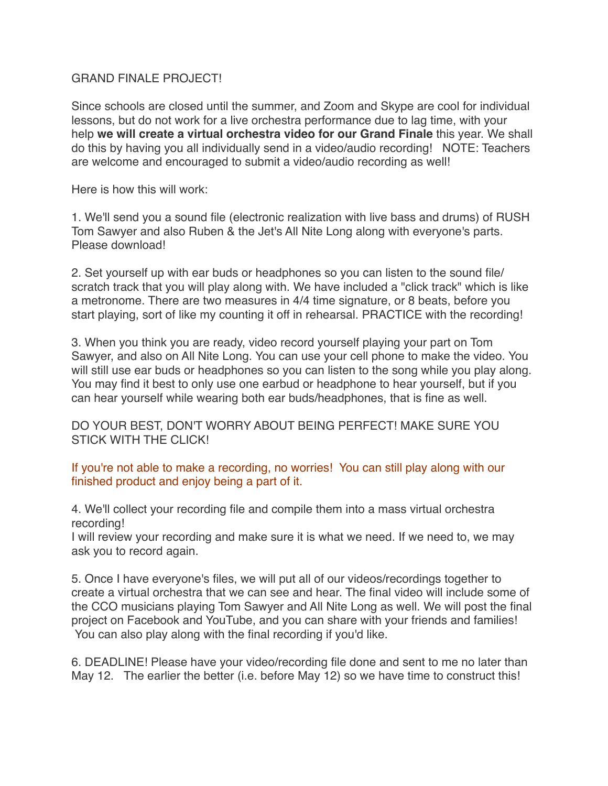## GRAND FINALE PROJECT!

Since schools are closed until the summer, and Zoom and Skype are cool for individual lessons, but do not work for a live orchestra performance due to lag time, with your help **we will create a virtual orchestra video for our Grand Finale** this year. We shall do this by having you all individually send in a video/audio recording! NOTE: Teachers are welcome and encouraged to submit a video/audio recording as well!

Here is how this will work:

1. We'll send you a sound file (electronic realization with live bass and drums) of RUSH Tom Sawyer and also Ruben & the Jet's All Nite Long along with everyone's parts. Please download!

2. Set yourself up with ear buds or headphones so you can listen to the sound file/ scratch track that you will play along with. We have included a "click track" which is like a metronome. There are two measures in 4/4 time signature, or 8 beats, before you start playing, sort of like my counting it off in rehearsal. PRACTICE with the recording!

3. When you think you are ready, video record yourself playing your part on Tom Sawyer, and also on All Nite Long. You can use your cell phone to make the video. You will still use ear buds or headphones so you can listen to the song while you play along. You may find it best to only use one earbud or headphone to hear yourself, but if you can hear yourself while wearing both ear buds/headphones, that is fine as well.

DO YOUR BEST, DON'T WORRY ABOUT BEING PERFECT! MAKE SURE YOU STICK WITH THE CLICK!

## If you're not able to make a recording, no worries! You can still play along with our finished product and enjoy being a part of it.

4. We'll collect your recording file and compile them into a mass virtual orchestra recording!

I will review your recording and make sure it is what we need. If we need to, we may ask you to record again.

5. Once I have everyone's files, we will put all of our videos/recordings together to create a virtual orchestra that we can see and hear. The final video will include some of the CCO musicians playing Tom Sawyer and All Nite Long as well. We will post the final project on Facebook and YouTube, and you can share with your friends and families! You can also play along with the final recording if you'd like.

6. DEADLINE! Please have your video/recording file done and sent to me no later than May 12. The earlier the better (i.e. before May 12) so we have time to construct this!